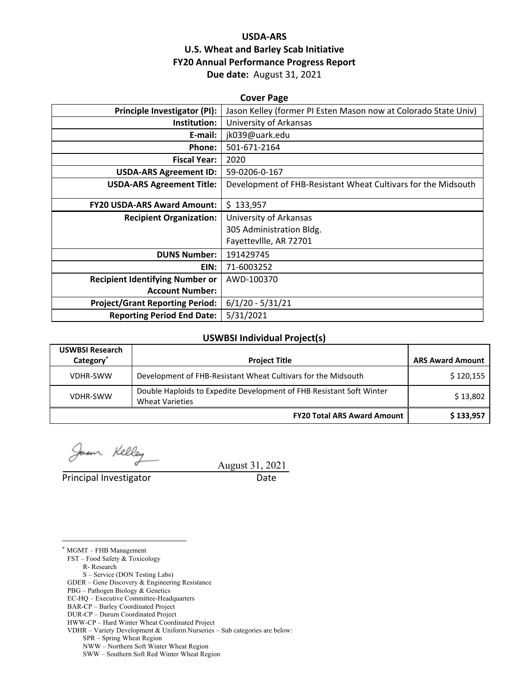# **USDA‐ARS U.S. Wheat and Barley Scab Initiative FY20 Annual Performance Progress Report Due date:** August 31, 2021

| <b>Cover Page</b>                      |                                                                 |  |  |  |  |
|----------------------------------------|-----------------------------------------------------------------|--|--|--|--|
| <b>Principle Investigator (PI):</b>    | Jason Kelley (former PI Esten Mason now at Colorado State Univ) |  |  |  |  |
| Institution:                           | University of Arkansas                                          |  |  |  |  |
| E-mail:                                | jk039@uark.edu                                                  |  |  |  |  |
| Phone:                                 | 501-671-2164                                                    |  |  |  |  |
| <b>Fiscal Year:</b>                    | 2020                                                            |  |  |  |  |
| <b>USDA-ARS Agreement ID:</b>          | 59-0206-0-167                                                   |  |  |  |  |
| <b>USDA-ARS Agreement Title:</b>       | Development of FHB-Resistant Wheat Cultivars for the Midsouth   |  |  |  |  |
| <b>FY20 USDA-ARS Award Amount:</b>     | \$133,957                                                       |  |  |  |  |
| <b>Recipient Organization:</b>         | University of Arkansas                                          |  |  |  |  |
|                                        | 305 Administration Bldg.                                        |  |  |  |  |
|                                        | Fayetteville, AR 72701                                          |  |  |  |  |
| <b>DUNS Number:</b>                    | 191429745                                                       |  |  |  |  |
| EIN:                                   | 71-6003252                                                      |  |  |  |  |
| <b>Recipient Identifying Number or</b> | AWD-100370                                                      |  |  |  |  |
| <b>Account Number:</b>                 |                                                                 |  |  |  |  |
| <b>Project/Grant Reporting Period:</b> | $6/1/20 - 5/31/21$                                              |  |  |  |  |
| <b>Reporting Period End Date:</b>      | 5/31/2021                                                       |  |  |  |  |

#### **USWBSI Individual Project(s)**

| <b>USWBSI Research</b><br>Category <sup>*</sup> | <b>Project Title</b>                                                                           | <b>ARS Award Amount</b> |
|-------------------------------------------------|------------------------------------------------------------------------------------------------|-------------------------|
| VDHR-SWW                                        | Development of FHB-Resistant Wheat Cultivars for the Midsouth                                  | \$120,155               |
| <b>VDHR-SWW</b>                                 | Double Haploids to Expedite Development of FHB Resistant Soft Winter<br><b>Wheat Varieties</b> | \$13,802                |
|                                                 | <b>FY20 Total ARS Award Amount</b>                                                             | \$133,957               |

Jason Kelley

August 31, 2021

Principal Investigator **Date** 

 $\overline{a}$ \* MGMT – FHB Management

FST – Food Safety & Toxicology

R- Research

S – Service (DON Testing Labs)

GDER – Gene Discovery & Engineering Resistance

PBG – Pathogen Biology & Genetics

EC-HQ – Executive Committee-Headquarters

BAR-CP – Barley Coordinated Project DUR-CP – Durum Coordinated Project

SPR – Spring Wheat Region

NWW – Northern Soft Winter Wheat Region

SWW – Southern Soft Red Winter Wheat Region

HWW-CP – Hard Winter Wheat Coordinated Project

VDHR – Variety Development & Uniform Nurseries – Sub categories are below: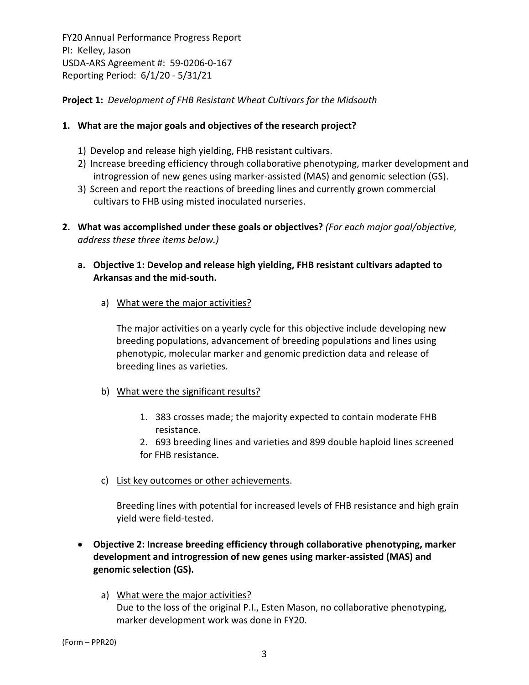**Project 1:** *Development of FHB Resistant Wheat Cultivars for the Midsouth*

#### **1. What are the major goals and objectives of the research project?**

- 1) Develop and release high yielding, FHB resistant cultivars.
- 2) Increase breeding efficiency through collaborative phenotyping, marker development and introgression of new genes using marker‐assisted (MAS) and genomic selection (GS).
- 3) Screen and report the reactions of breeding lines and currently grown commercial cultivars to FHB using misted inoculated nurseries.
- **2. What was accomplished under these goals or objectives?** *(For each major goal/objective, address these three items below.)*
	- **a. Objective 1: Develop and release high yielding, FHB resistant cultivars adapted to Arkansas and the mid‐south.** 
		- a) What were the major activities?

The major activities on a yearly cycle for this objective include developing new breeding populations, advancement of breeding populations and lines using phenotypic, molecular marker and genomic prediction data and release of breeding lines as varieties.

- b) What were the significant results?
	- 1. 383 crosses made; the majority expected to contain moderate FHB resistance.
	- 2. 693 breeding lines and varieties and 899 double haploid lines screened for FHB resistance.
- c) List key outcomes or other achievements.

Breeding lines with potential for increased levels of FHB resistance and high grain yield were field‐tested.

- **Objective 2: Increase breeding efficiency through collaborative phenotyping, marker development and introgression of new genes using marker‐assisted (MAS) and genomic selection (GS).**
	- a) What were the major activities? Due to the loss of the original P.I., Esten Mason, no collaborative phenotyping, marker development work was done in FY20.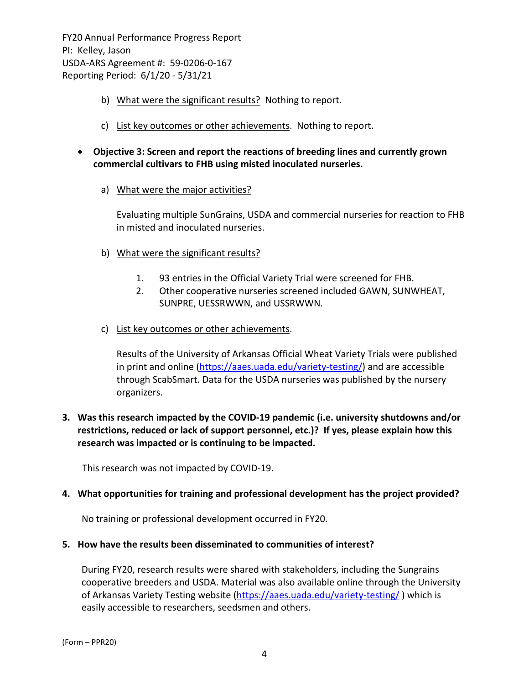- b) What were the significant results? Nothing to report.
- c) List key outcomes or other achievements. Nothing to report.
- **Objective 3: Screen and report the reactions of breeding lines and currently grown commercial cultivars to FHB using misted inoculated nurseries.**
	- a) What were the major activities?

Evaluating multiple SunGrains, USDA and commercial nurseries for reaction to FHB in misted and inoculated nurseries.

- b) What were the significant results?
	- 1. 93 entries in the Official Variety Trial were screened for FHB.
	- 2. Other cooperative nurseries screened included GAWN, SUNWHEAT, SUNPRE, UESSRWWN, and USSRWWN.
- c) List key outcomes or other achievements.

Results of the University of Arkansas Official Wheat Variety Trials were published in print and online (https://aaes.uada.edu/variety‐testing/) and are accessible through ScabSmart. Data for the USDA nurseries was published by the nursery organizers.

# **3. Was this research impacted by the COVID‐19 pandemic (i.e. university shutdowns and/or restrictions, reduced or lack of support personnel, etc.)? If yes, please explain how this research was impacted or is continuing to be impacted.**

This research was not impacted by COVID‐19.

#### **4. What opportunities for training and professional development has the project provided?**

No training or professional development occurred in FY20.

#### **5. How have the results been disseminated to communities of interest?**

During FY20, research results were shared with stakeholders, including the Sungrains cooperative breeders and USDA. Material was also available online through the University of Arkansas Variety Testing website (https://aaes.uada.edu/variety-testing/) which is easily accessible to researchers, seedsmen and others.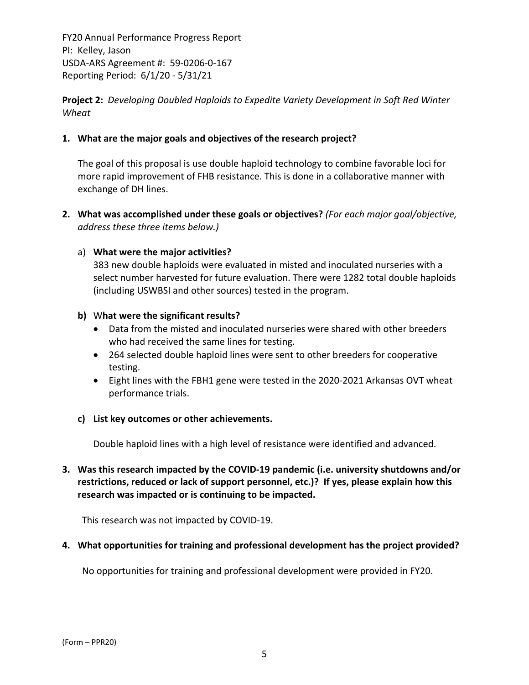**Project 2:** *Developing Doubled Haploids to Expedite Variety Development in Soft Red Winter Wheat*

# **1. What are the major goals and objectives of the research project?**

The goal of this proposal is use double haploid technology to combine favorable loci for more rapid improvement of FHB resistance. This is done in a collaborative manner with exchange of DH lines.

**2. What was accomplished under these goals or objectives?** *(For each major goal/objective, address these three items below.)*

#### a) **What were the major activities?**

383 new double haploids were evaluated in misted and inoculated nurseries with a select number harvested for future evaluation. There were 1282 total double haploids (including USWBSI and other sources) tested in the program.

#### **b)** W**hat were the significant results?**

- Data from the misted and inoculated nurseries were shared with other breeders who had received the same lines for testing.
- 264 selected double haploid lines were sent to other breeders for cooperative testing.
- Eight lines with the FBH1 gene were tested in the 2020‐2021 Arkansas OVT wheat performance trials.

# **c) List key outcomes or other achievements.**

Double haploid lines with a high level of resistance were identified and advanced.

**3. Was this research impacted by the COVID‐19 pandemic (i.e. university shutdowns and/or restrictions, reduced or lack of support personnel, etc.)? If yes, please explain how this research was impacted or is continuing to be impacted.**

This research was not impacted by COVID‐19.

# **4. What opportunities for training and professional development has the project provided?**

No opportunities for training and professional development were provided in FY20.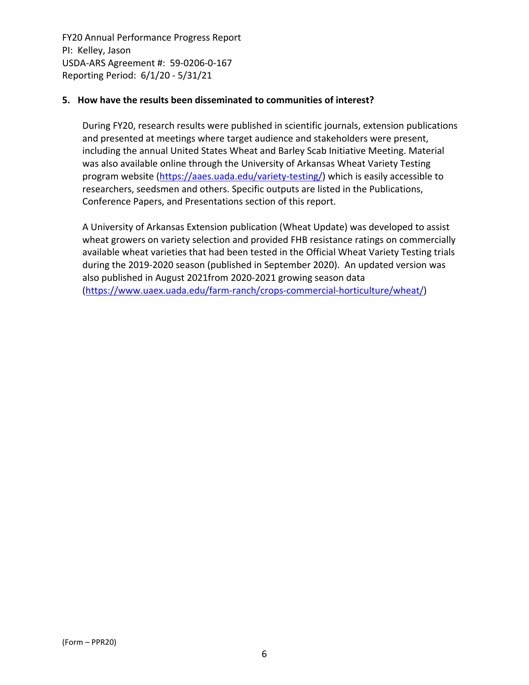#### **5. How have the results been disseminated to communities of interest?**

During FY20, research results were published in scientific journals, extension publications and presented at meetings where target audience and stakeholders were present, including the annual United States Wheat and Barley Scab Initiative Meeting. Material was also available online through the University of Arkansas Wheat Variety Testing program website (https://aaes.uada.edu/variety‐testing/) which is easily accessible to researchers, seedsmen and others. Specific outputs are listed in the Publications, Conference Papers, and Presentations section of this report.

A University of Arkansas Extension publication (Wheat Update) was developed to assist wheat growers on variety selection and provided FHB resistance ratings on commercially available wheat varieties that had been tested in the Official Wheat Variety Testing trials during the 2019‐2020 season (published in September 2020). An updated version was also published in August 2021from 2020‐2021 growing season data (https://www.uaex.uada.edu/farm‐ranch/crops‐commercial‐horticulture/wheat/)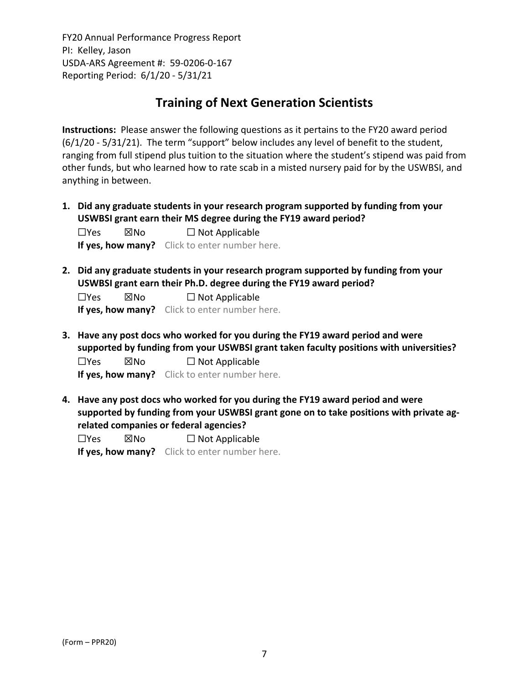# **Training of Next Generation Scientists**

**Instructions:** Please answer the following questions as it pertains to the FY20 award period (6/1/20 ‐ 5/31/21). The term "support" below includes any level of benefit to the student, ranging from full stipend plus tuition to the situation where the student's stipend was paid from other funds, but who learned how to rate scab in a misted nursery paid for by the USWBSI, and anything in between.

**1. Did any graduate students in your research program supported by funding from your USWBSI grant earn their MS degree during the FY19 award period?**

☐Yes ☒No ☐ Not Applicable **If yes, how many?** Click to enter number here.

**2. Did any graduate students in your research program supported by funding from your USWBSI grant earn their Ph.D. degree during the FY19 award period?**

☐Yes ☒No ☐ Not Applicable **If yes, how many?** Click to enter number here.

**3. Have any post docs who worked for you during the FY19 award period and were supported by funding from your USWBSI grant taken faculty positions with universities?**

 $\Box$ Yes  $\boxtimes$ No  $\Box$  Not Applicable **If yes, how many?** Click to enter number here.

**4. Have any post docs who worked for you during the FY19 award period and were supported by funding from your USWBSI grant gone on to take positions with private ag‐ related companies or federal agencies?**

| $\Box$ Yes | ⊠No | $\Box$ Not Applicable                                |
|------------|-----|------------------------------------------------------|
|            |     | <b>If yes, how many?</b> Click to enter number here. |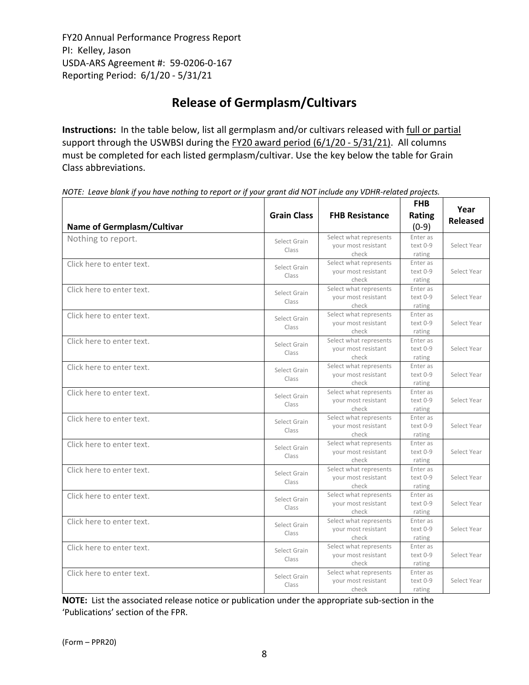# **Release of Germplasm/Cultivars**

**Instructions:** In the table below, list all germplasm and/or cultivars released with full or partial support through the USWBSI during the FY20 award period (6/1/20 - 5/31/21). All columns must be completed for each listed germplasm/cultivar. Use the key below the table for Grain Class abbreviations. 

| <b>Name of Germplasm/Cultivar</b> | <b>Grain Class</b>    | <b>FHB Resistance</b>                                  | <b>FHB</b><br><b>Rating</b><br>$(0-9)$ | Year<br><b>Released</b> |
|-----------------------------------|-----------------------|--------------------------------------------------------|----------------------------------------|-------------------------|
| Nothing to report.                | Select Grain<br>Class | Select what represents<br>your most resistant<br>check | Enter as<br>text 0-9<br>rating         | Select Year             |
| Click here to enter text.         | Select Grain<br>Class | Select what represents<br>your most resistant<br>check | Enter as<br>text 0-9<br>rating         | Select Year             |
| Click here to enter text.         | Select Grain<br>Class | Select what represents<br>your most resistant<br>check | Enter as<br>text 0-9<br>rating         | Select Year             |
| Click here to enter text.         | Select Grain<br>Class | Select what represents<br>your most resistant<br>check | Enter as<br>text 0-9<br>rating         | Select Year             |
| Click here to enter text.         | Select Grain<br>Class | Select what represents<br>your most resistant<br>check | Enter as<br>text 0-9<br>rating         | Select Year             |
| Click here to enter text.         | Select Grain<br>Class | Select what represents<br>your most resistant<br>check | Enter as<br>text 0-9<br>rating         | Select Year             |
| Click here to enter text.         | Select Grain<br>Class | Select what represents<br>your most resistant<br>check | Enter as<br>text 0-9<br>rating         | Select Year             |
| Click here to enter text.         | Select Grain<br>Class | Select what represents<br>your most resistant<br>check | Enter as<br>text 0-9<br>rating         | Select Year             |
| Click here to enter text.         | Select Grain<br>Class | Select what represents<br>your most resistant<br>check | Enter as<br>text 0-9<br>rating         | Select Year             |
| Click here to enter text.         | Select Grain<br>Class | Select what represents<br>your most resistant<br>check | Enter as<br>text 0-9<br>rating         | Select Year             |
| Click here to enter text.         | Select Grain<br>Class | Select what represents<br>your most resistant<br>check | Enter as<br>text 0-9<br>rating         | Select Year             |
| Click here to enter text.         | Select Grain<br>Class | Select what represents<br>your most resistant<br>check | Enter as<br>text 0-9<br>rating         | Select Year             |
| Click here to enter text.         | Select Grain<br>Class | Select what represents<br>your most resistant<br>check | Enter as<br>text 0-9<br>rating         | Select Year             |
| Click here to enter text.         | Select Grain<br>Class | Select what represents<br>your most resistant<br>check | Enter as<br>text 0-9<br>rating         | Select Year             |

NOTE: Leave blank if you have nothing to report or if your grant did NOT include any VDHR-related projects.

**NOTE:** List the associated release notice or publication under the appropriate sub-section in the 'Publications' section of the FPR.